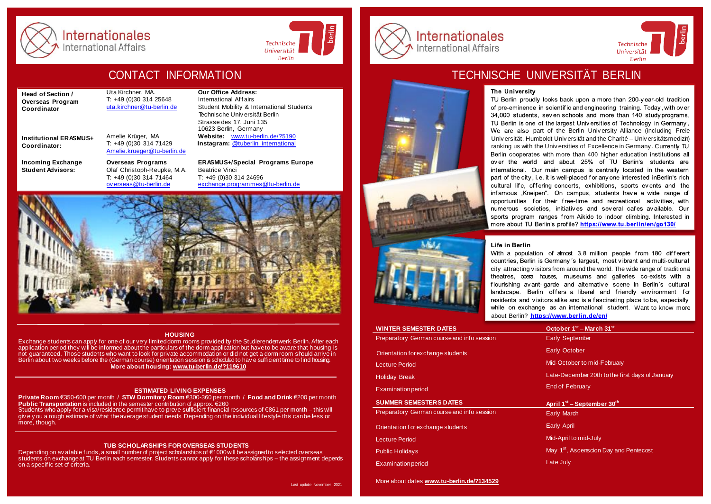

Internationales **International Affairs** 



Last update November 2021

**Head of Section / Overseas Program Coordinator**

Uta Kirchner, MA. T: +49 (0)30 314 25648 [uta.kirchner@tu-berlin.de](mailto:uta.kirchner@tu-berlin.de)

**Institutional ERASMUS+ Coordinator:**

**Incoming Exchange Student Advisors:**

Amelie Krüger, MA T: +49 (0)30 314 71429

**Overseas Programs** Olaf Christoph-Reupke, M.A. T: +49 (0)30 314 71464 [ov erseas@tu-berlin.de](mailto:overseas@tu-berlin.de)

**Our Office Address:**  International Affairs Student Mobility & International Students Technische Univ ersität Berlin Strasse des 17. Juni 135 10623 Berlin, Germany **Website:** [www.tu-berlin.de/?5190](http://www.tu-berlin.de/?5190) **Instagram:** [@tuberlin\\_international](https://www.instagram.com/tuberlin_international/?hl=de)

[Amelie.krueger@tu-berlin.de](mailto:Amelie.krueger@tu-berlin.de)

**ERASMUS+/Special Programs Europe** Beatrice Vinci T: +49 (0)30 314 24696 [exchange.programmes@tu-berlin.de](mailto:exchange.programmes@tu-berlin.de)



#### **HOUSING**

Exchange students can apply for one of our very limiteddorm rooms provided by the Studierendenwerk Berlin. After each<br>application period they will be informed about the particulars of the dorm applicationbut have to be awa not guaranteed. Those students who want to look for private accommodation or did not get a dorm room should arrive in Berlin about two weeks before the (German course) orientation session is scheduled to hav e sufficient time tofind housing. **More about housing: [www.tu-berlin.de/?119610](http://www.tu-berlin.de/?119610)**

#### **ESTIMATED LIVING EXPENSES**

**Private Room** €350-600 per month / **STW Dormitory Room** €300-360 per month / **Food and Drink** €200 per month **Public Transportation** is included in the semester contribution of approx. €260 Students who apply for a visa/residence permit have to prove sufficient financial resources of €861 per month – this will giv e y ou a rough estimate of what the average student needs. Depending on the individual life style this can be less or more, though.

#### **TUB SCHOLARSHIPS FOR OVERSEAS STUDENTS**

Depending on av ailable funds, a small number of project scholarships of €1000 will be assigned to selected overseas students on exchange at TU Berlin each semester. Students cannot apply for these scholarships – the assignment depends on a specif ic set of criteria.



# CONTACT INFORMATION **TECHNISCHE UNIVERSITÄT BERLIN**

#### The University

TU Berlin proudly looks back upon a more than 200-year-old tradition of pre-eminence in scientific and engineering training. Today, with over 34,000 students, seven schools and more than 140 study programs. TU Berlin is one of the largest Universities of Technology in Germany We are also part of the Berlin University Alliance (including Freie Univ ersität, Humboldt Univ ersität and the Charité – Univ ersitätsmedizin) ranking us with the Universities of Excellence in Germany, Currently TU Berlin cooperates with more than 400 higher education institutions all over the world and about 25% of TU Berlin's students are international. Our main campus is centrally located in the western part of the city, i.e. it is well-placed for any one interested inBerlin's rich cultural life, offering concerts, exhibitions, sports events and the infamous "Kneipen". On campus, students have a wide range of opportunities for their free-time and recreational activities with numerous societies, initiatives and several cafes available. Our sports program ranges from Aikido to indoor climbing. Interested in more about TU Berlin's profile? https://www.tu.berlin/en/go130/

Technische

Universität

**Berlin** 



With a population of almost 3.8 million people from 180 different countries, Berlin is Germany's largest, most vibrant and multi-cultural city attracting visitors from around the world. The wide range of traditional<br>theatres, opera houses, museums and galleries co-exists with a flourishing avant-garde and alternative scene in Berlin's cultural landscape. Berlin offers a liberal and friendly environment for residents and visitors alike and is a fascinating place to be, especially while on exchange as an international student. Want to know more about Berlin? **<https://www.berlin.de/en/>**

| <b>WINTER SEMESTER DATES</b>               | October 1 <sup>st</sup> – March 31 <sup>st</sup>   |
|--------------------------------------------|----------------------------------------------------|
| Preparatory German course and info session | <b>Early September</b>                             |
| Orientation for exchange students          | <b>Early October</b>                               |
| <b>Lecture Period</b>                      | Mid-October to mid-February                        |
| <b>Holiday Break</b>                       | Late-December 20th to the first days of January    |
| <b>Examination period</b>                  | <b>End of February</b>                             |
|                                            |                                                    |
| <b>SUMMER SEMESTERS DATES</b>              | April 1 <sup>st</sup> – September 30 <sup>th</sup> |
| Preparatory German course and info session | <b>Early March</b>                                 |
| Orientation for exchange students          | <b>Early April</b>                                 |
| <b>Lecture Period</b>                      | Mid-April to mid-July                              |
| <b>Public Holidays</b>                     | May 1 <sup>st</sup> , Ascenscion Day and Pentecost |
| <b>Examination period</b>                  | Late July                                          |

More about dates **[www.tu-berlin.de/?134529](http://www.tu-berlin.de/?134529)**